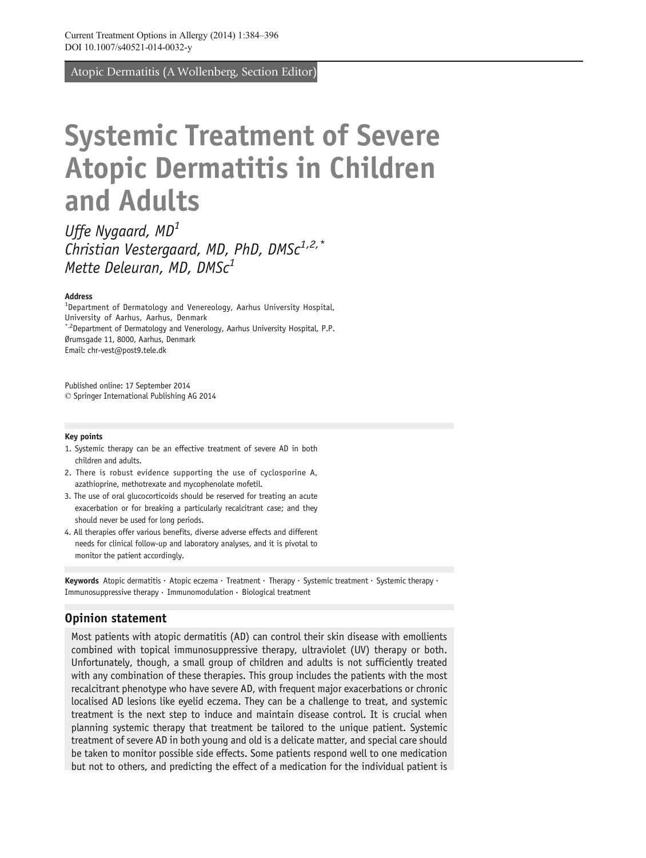Atopic Dermatitis (A Wollenberg, Section Editor)

# Systemic Treatment of Severe Atopic Dermatitis in Children and Adults

Uffe Nygaard, MD<sup>1</sup> Christian Vestergaard, MD, PhD, DMS $c^{1,2,*}$ Mette Deleuran, MD, DMS $c<sup>1</sup>$ 

#### Address

<sup>1</sup>Department of Dermatology and Venereology, Aarhus University Hospital, University of Aarhus, Aarhus, Denmark \*,2Department of Dermatology and Venerology, Aarhus University Hospital, P.P. Ørumsgade 11, 8000, Aarhus, Denmark Email: chr-vest@post9.tele.dk

Published online: 17 September 2014  $\oslash$  Springer International Publishing AG 2014

#### Key points

- 1. Systemic therapy can be an effective treatment of severe AD in both children and adults.
- 2. There is robust evidence supporting the use of cyclosporine A, azathioprine, methotrexate and mycophenolate mofetil.
- 3. The use of oral glucocorticoids should be reserved for treating an acute exacerbation or for breaking a particularly recalcitrant case; and they should never be used for long periods.
- 4. All therapies offer various benefits, diverse adverse effects and different needs for clinical follow-up and laboratory analyses, and it is pivotal to monitor the patient accordingly.

Keywords Atopic dermatitis · Atopic eczema · Treatment · Therapy · Systemic treatment · Systemic therapy · Immunosuppressive therapy  $\cdot$  Immunomodulation  $\cdot$  Biological treatment

#### Opinion statement

Most patients with atopic dermatitis (AD) can control their skin disease with emollients combined with topical immunosuppressive therapy, ultraviolet (UV) therapy or both. Unfortunately, though, a small group of children and adults is not sufficiently treated with any combination of these therapies. This group includes the patients with the most recalcitrant phenotype who have severe AD, with frequent major exacerbations or chronic localised AD lesions like eyelid eczema. They can be a challenge to treat, and systemic treatment is the next step to induce and maintain disease control. It is crucial when planning systemic therapy that treatment be tailored to the unique patient. Systemic treatment of severe AD in both young and old is a delicate matter, and special care should be taken to monitor possible side effects. Some patients respond well to one medication but not to others, and predicting the effect of a medication for the individual patient is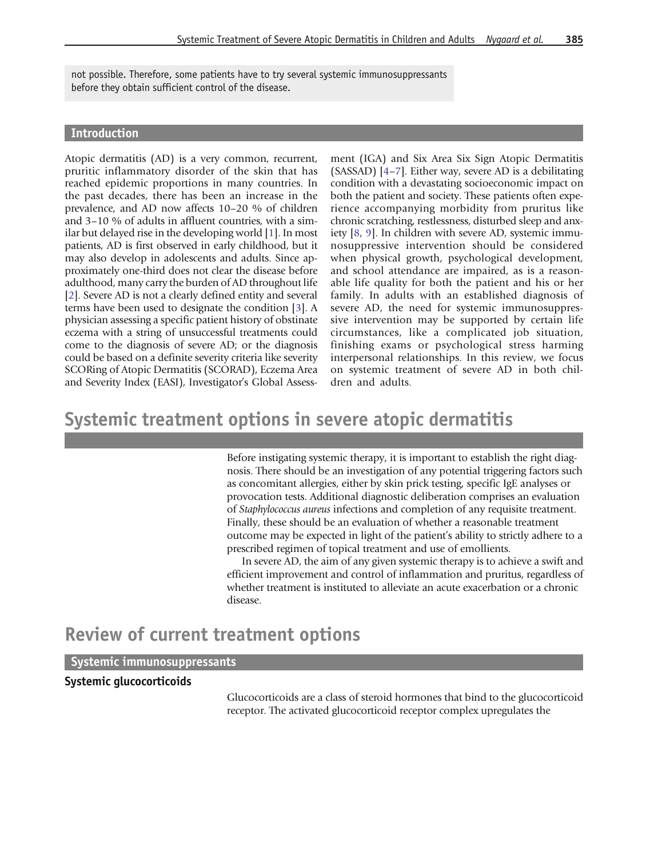not possible. Therefore, some patients have to try several systemic immunosuppressants before they obtain sufficient control of the disease.

#### Introduction

Atopic dermatitis (AD) is a very common, recurrent, pruritic inflammatory disorder of the skin that has reached epidemic proportions in many countries. In the past decades, there has been an increase in the prevalence, and AD now affects 10–20 % of children and 3–10 % of adults in affluent countries, with a similar but delayed rise in the developing world [\[1\]](#page-8-0). In most patients, AD is first observed in early childhood, but it may also develop in adolescents and adults. Since approximately one-third does not clear the disease before adulthood, many carry the burden of AD throughout life [\[2\]](#page-8-0). Severe AD is not a clearly defined entity and several terms have been used to designate the condition [\[3\]](#page-9-0). A physician assessing a specific patient history of obstinate eczema with a string of unsuccessful treatments could come to the diagnosis of severe AD; or the diagnosis could be based on a definite severity criteria like severity SCORing of Atopic Dermatitis (SCORAD), Eczema Area and Severity Index (EASI), Investigator's Global Assessment (IGA) and Six Area Six Sign Atopic Dermatitis (SASSAD) [[4](#page-9-0)–[7\]](#page-9-0). Either way, severe AD is a debilitating condition with a devastating socioeconomic impact on both the patient and society. These patients often experience accompanying morbidity from pruritus like chronic scratching, restlessness, disturbed sleep and anxiety [\[8,](#page-9-0) [9\]](#page-9-0). In children with severe AD, systemic immunosuppressive intervention should be considered when physical growth, psychological development, and school attendance are impaired, as is a reasonable life quality for both the patient and his or her family. In adults with an established diagnosis of severe AD, the need for systemic immunosuppressive intervention may be supported by certain life circumstances, like a complicated job situation, finishing exams or psychological stress harming interpersonal relationships. In this review, we focus on systemic treatment of severe AD in both children and adults.

## Systemic treatment options in severe atopic dermatitis

Before instigating systemic therapy, it is important to establish the right diagnosis. There should be an investigation of any potential triggering factors such as concomitant allergies, either by skin prick testing, specific IgE analyses or provocation tests. Additional diagnostic deliberation comprises an evaluation of Staphylococcus aureus infections and completion of any requisite treatment. Finally, these should be an evaluation of whether a reasonable treatment outcome may be expected in light of the patient's ability to strictly adhere to a prescribed regimen of topical treatment and use of emollients.

In severe AD, the aim of any given systemic therapy is to achieve a swift and efficient improvement and control of inflammation and pruritus, regardless of whether treatment is instituted to alleviate an acute exacerbation or a chronic disease.

## Review of current treatment options

#### Systemic immunosuppressants

#### Systemic glucocorticoids

Glucocorticoids are a class of steroid hormones that bind to the glucocorticoid receptor. The activated glucocorticoid receptor complex upregulates the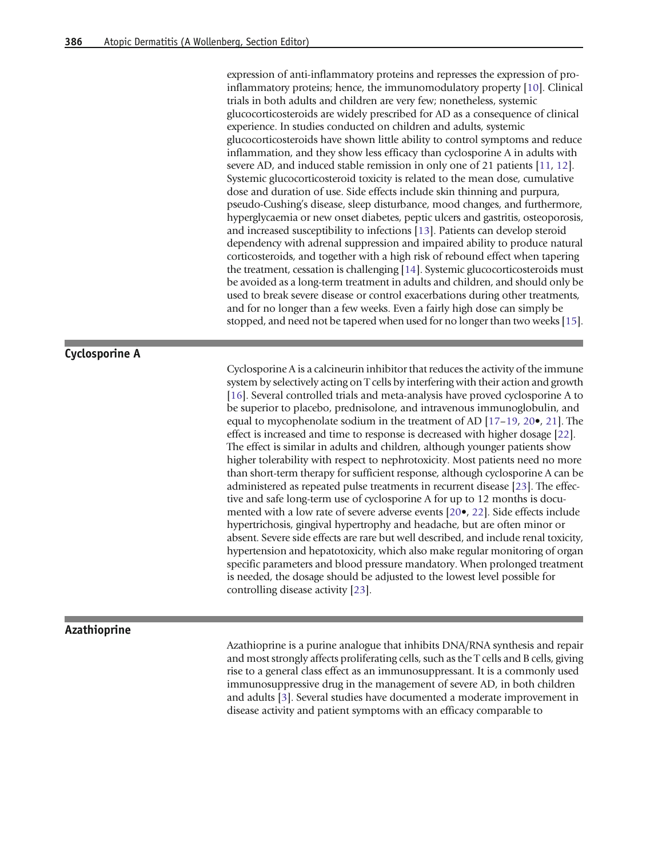expression of anti-inflammatory proteins and represses the expression of proinflammatory proteins; hence, the immunomodulatory property [\[10\]](#page-9-0). Clinical trials in both adults and children are very few; nonetheless, systemic glucocorticosteroids are widely prescribed for AD as a consequence of clinical experience. In studies conducted on children and adults, systemic glucocorticosteroids have shown little ability to control symptoms and reduce inflammation, and they show less efficacy than cyclosporine A in adults with severe AD, and induced stable remission in only one of 21 patients [\[11](#page-9-0), [12\]](#page-9-0). Systemic glucocorticosteroid toxicity is related to the mean dose, cumulative dose and duration of use. Side effects include skin thinning and purpura, pseudo-Cushing's disease, sleep disturbance, mood changes, and furthermore, hyperglycaemia or new onset diabetes, peptic ulcers and gastritis, osteoporosis, and increased susceptibility to infections [\[13](#page-9-0)]. Patients can develop steroid dependency with adrenal suppression and impaired ability to produce natural corticosteroids, and together with a high risk of rebound effect when tapering the treatment, cessation is challenging [\[14\]](#page-9-0). Systemic glucocorticosteroids must be avoided as a long-term treatment in adults and children, and should only be used to break severe disease or control exacerbations during other treatments, and for no longer than a few weeks. Even a fairly high dose can simply be stopped, and need not be tapered when used for no longer than two weeks [\[15](#page-9-0)].

#### Cyclosporine A

Cyclosporine A is a calcineurin inhibitor that reduces the activity of the immune system by selectively acting on T cells by interfering with their action and growth [[16](#page-9-0)]. Several controlled trials and meta-analysis have proved cyclosporine A to be superior to placebo, prednisolone, and intravenous immunoglobulin, and equal to mycophenolate sodium in the treatment of AD [\[17](#page-9-0)–[19](#page-9-0), [20](#page-9-0)•, [21](#page-9-0)]. The effect is increased and time to response is decreased with higher dosage [\[22](#page-9-0)]. The effect is similar in adults and children, although younger patients show higher tolerability with respect to nephrotoxicity. Most patients need no more than short-term therapy for sufficient response, although cyclosporine A can be administered as repeated pulse treatments in recurrent disease [\[23](#page-9-0)]. The effective and safe long-term use of cyclosporine A for up to 12 months is documented with a low rate of severe adverse events [[20](#page-9-0)•, [22](#page-9-0)]. Side effects include hypertrichosis, gingival hypertrophy and headache, but are often minor or absent. Severe side effects are rare but well described, and include renal toxicity, hypertension and hepatotoxicity, which also make regular monitoring of organ specific parameters and blood pressure mandatory. When prolonged treatment is needed, the dosage should be adjusted to the lowest level possible for controlling disease activity [\[23\]](#page-9-0).

#### Azathioprine

Azathioprine is a purine analogue that inhibits DNA/RNA synthesis and repair and most strongly affects proliferating cells, such as the T cells and B cells, giving rise to a general class effect as an immunosuppressant. It is a commonly used immunosuppressive drug in the management of severe AD, in both children and adults [\[3\]](#page-9-0). Several studies have documented a moderate improvement in disease activity and patient symptoms with an efficacy comparable to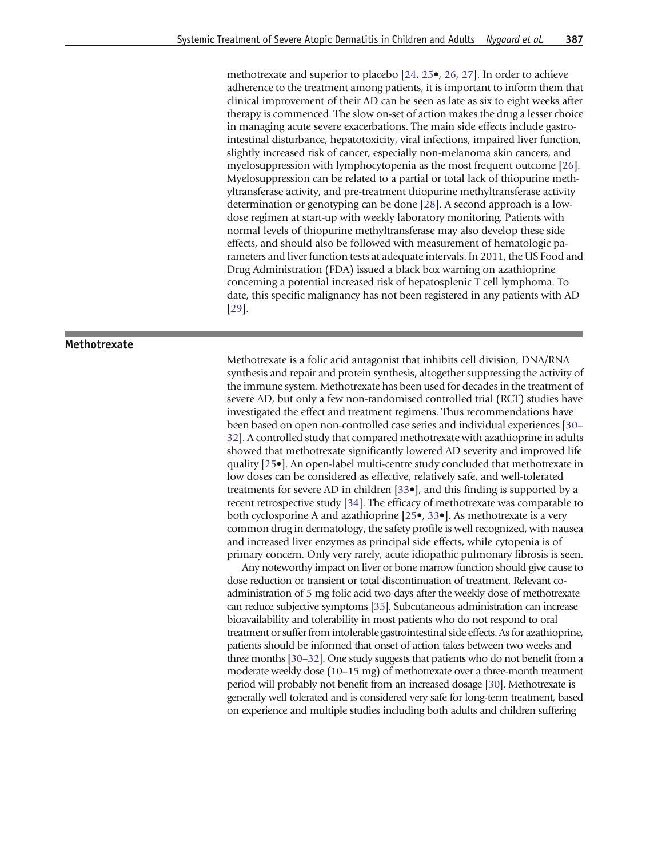methotrexate and superior to placebo [\[24,](#page-9-0) [25](#page-9-0)•, [26,](#page-10-0) [27\]](#page-10-0). In order to achieve adherence to the treatment among patients, it is important to inform them that clinical improvement of their AD can be seen as late as six to eight weeks after therapy is commenced. The slow on-set of action makes the drug a lesser choice in managing acute severe exacerbations. The main side effects include gastrointestinal disturbance, hepatotoxicity, viral infections, impaired liver function, slightly increased risk of cancer, especially non-melanoma skin cancers, and myelosuppression with lymphocytopenia as the most frequent outcome [\[26](#page-10-0)]. Myelosuppression can be related to a partial or total lack of thiopurine methyltransferase activity, and pre-treatment thiopurine methyltransferase activity determination or genotyping can be done [[28\]](#page-10-0). A second approach is a lowdose regimen at start-up with weekly laboratory monitoring. Patients with normal levels of thiopurine methyltransferase may also develop these side effects, and should also be followed with measurement of hematologic parameters and liver function tests at adequate intervals. In 2011, the US Food and Drug Administration (FDA) issued a black box warning on azathioprine concerning a potential increased risk of hepatosplenic T cell lymphoma. To date, this specific malignancy has not been registered in any patients with AD [[29](#page-10-0)].

#### Methotrexate

Methotrexate is a folic acid antagonist that inhibits cell division, DNA/RNA synthesis and repair and protein synthesis, altogether suppressing the activity of the immune system. Methotrexate has been used for decades in the treatment of severe AD, but only a few non-randomised controlled trial (RCT) studies have investigated the effect and treatment regimens. Thus recommendations have been based on open non-controlled case series and individual experiences [[30](#page-10-0)– [32](#page-10-0)]. A controlled study that compared methotrexate with azathioprine in adults showed that methotrexate significantly lowered AD severity and improved life quality [\[25](#page-9-0)•]. An open-label multi-centre study concluded that methotrexate in low doses can be considered as effective, relatively safe, and well-tolerated treatments for severe AD in children [[33](#page-10-0)•], and this finding is supported by a recent retrospective study [\[34](#page-10-0)]. The efficacy of methotrexate was comparable to both cyclosporine A and azathioprine [[25](#page-9-0)•, [33](#page-10-0)•]. As methotrexate is a very common drug in dermatology, the safety profile is well recognized, with nausea and increased liver enzymes as principal side effects, while cytopenia is of primary concern. Only very rarely, acute idiopathic pulmonary fibrosis is seen.

Any noteworthy impact on liver or bone marrow function should give cause to dose reduction or transient or total discontinuation of treatment. Relevant coadministration of 5 mg folic acid two days after the weekly dose of methotrexate can reduce subjective symptoms [\[35](#page-10-0)]. Subcutaneous administration can increase bioavailability and tolerability in most patients who do not respond to oral treatment or suffer from intolerable gastrointestinal side effects. As for azathioprine, patients should be informed that onset of action takes between two weeks and three months [\[30](#page-10-0)–[32](#page-10-0)]. One study suggests that patients who do not benefit from a moderate weekly dose (10–15 mg) of methotrexate over a three-month treatment period will probably not benefit from an increased dosage [\[30\]](#page-10-0). Methotrexate is generally well tolerated and is considered very safe for long-term treatment, based on experience and multiple studies including both adults and children suffering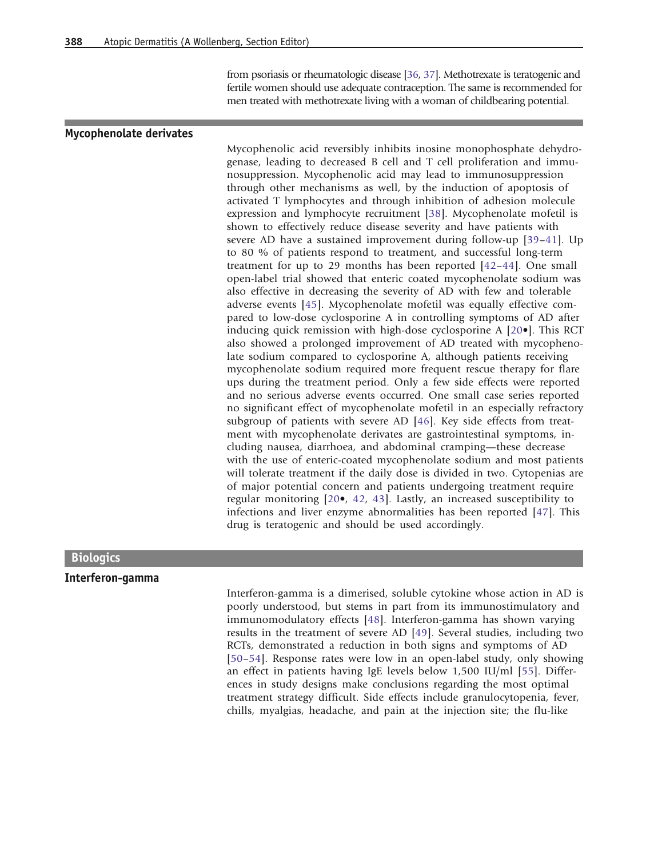from psoriasis or rheumatologic disease [\[36,](#page-10-0) [37](#page-10-0)]. Methotrexate is teratogenic and fertile women should use adequate contraception. The same is recommended for men treated with methotrexate living with a woman of childbearing potential.

#### Mycophenolate derivates

Mycophenolic acid reversibly inhibits inosine monophosphate dehydrogenase, leading to decreased B cell and T cell proliferation and immunosuppression. Mycophenolic acid may lead to immunosuppression through other mechanisms as well, by the induction of apoptosis of activated T lymphocytes and through inhibition of adhesion molecule expression and lymphocyte recruitment [[38\]](#page-10-0). Mycophenolate mofetil is shown to effectively reduce disease severity and have patients with severe AD have a sustained improvement during follow-up [[39](#page-10-0)–[41](#page-10-0)]. Up to 80 % of patients respond to treatment, and successful long-term treatment for up to 29 months has been reported [[42](#page-10-0)–[44\]](#page-10-0). One small open-label trial showed that enteric coated mycophenolate sodium was also effective in decreasing the severity of AD with few and tolerable adverse events [\[45\]](#page-10-0). Mycophenolate mofetil was equally effective compared to low-dose cyclosporine A in controlling symptoms of AD after inducing quick remission with high-dose cyclosporine A [[20](#page-9-0)•]. This RCT also showed a prolonged improvement of AD treated with mycophenolate sodium compared to cyclosporine A, although patients receiving mycophenolate sodium required more frequent rescue therapy for flare ups during the treatment period. Only a few side effects were reported and no serious adverse events occurred. One small case series reported no significant effect of mycophenolate mofetil in an especially refractory subgroup of patients with severe AD [[46](#page-10-0)]. Key side effects from treatment with mycophenolate derivates are gastrointestinal symptoms, including nausea, diarrhoea, and abdominal cramping—these decrease with the use of enteric-coated mycophenolate sodium and most patients will tolerate treatment if the daily dose is divided in two. Cytopenias are of major potential concern and patients undergoing treatment require regular monitoring [\[20](#page-9-0)•, [42,](#page-10-0) [43](#page-10-0)]. Lastly, an increased susceptibility to infections and liver enzyme abnormalities has been reported [[47\]](#page-10-0). This drug is teratogenic and should be used accordingly.

#### **Biologics**

#### Interferon-gamma

Interferon-gamma is a dimerised, soluble cytokine whose action in AD is poorly understood, but stems in part from its immunostimulatory and immunomodulatory effects [\[48](#page-10-0)]. Interferon-gamma has shown varying results in the treatment of severe AD [[49](#page-10-0)]. Several studies, including two RCTs, demonstrated a reduction in both signs and symptoms of AD [[50](#page-10-0)–[54\]](#page-11-0). Response rates were low in an open-label study, only showing an effect in patients having IgE levels below 1,500 IU/ml [\[55](#page-11-0)]. Differences in study designs make conclusions regarding the most optimal treatment strategy difficult. Side effects include granulocytopenia, fever, chills, myalgias, headache, and pain at the injection site; the flu-like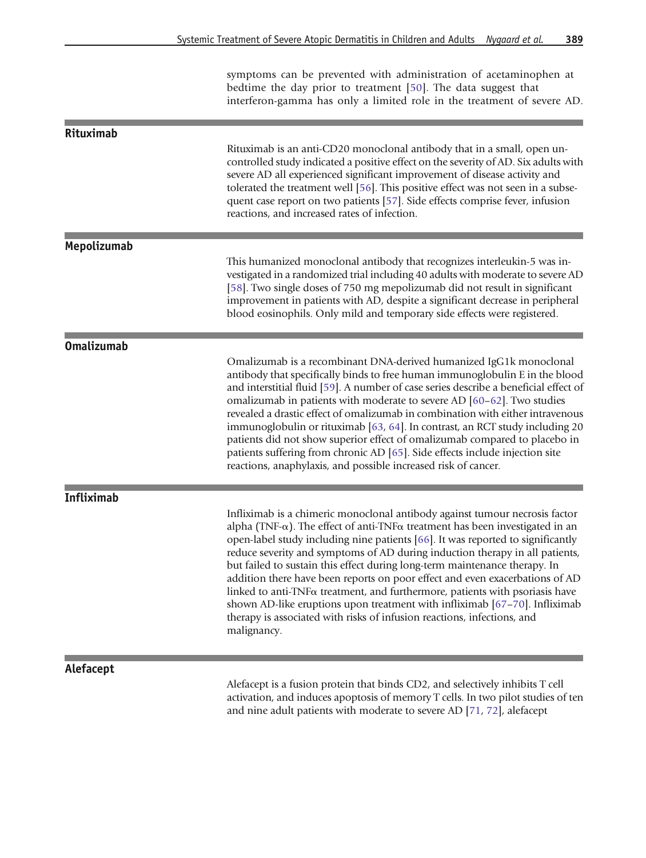symptoms can be prevented with administration of acetaminophen at bedtime the day prior to treatment [\[50](#page-10-0)]. The data suggest that interferon-gamma has only a limited role in the treatment of severe AD.

| Rituximab         |                                                                                                                                                                                                                                                                                                                                                                                                                                                                                                                                                                                                                                                                                                                                                                               |
|-------------------|-------------------------------------------------------------------------------------------------------------------------------------------------------------------------------------------------------------------------------------------------------------------------------------------------------------------------------------------------------------------------------------------------------------------------------------------------------------------------------------------------------------------------------------------------------------------------------------------------------------------------------------------------------------------------------------------------------------------------------------------------------------------------------|
|                   | Rituximab is an anti-CD20 monoclonal antibody that in a small, open un-<br>controlled study indicated a positive effect on the severity of AD. Six adults with<br>severe AD all experienced significant improvement of disease activity and<br>tolerated the treatment well [56]. This positive effect was not seen in a subse-<br>quent case report on two patients [57]. Side effects comprise fever, infusion<br>reactions, and increased rates of infection.                                                                                                                                                                                                                                                                                                              |
| Mepolizumab       |                                                                                                                                                                                                                                                                                                                                                                                                                                                                                                                                                                                                                                                                                                                                                                               |
|                   | This humanized monoclonal antibody that recognizes interleukin-5 was in-<br>vestigated in a randomized trial including 40 adults with moderate to severe AD<br>[58]. Two single doses of 750 mg mepolizumab did not result in significant<br>improvement in patients with AD, despite a significant decrease in peripheral<br>blood eosinophils. Only mild and temporary side effects were registered.                                                                                                                                                                                                                                                                                                                                                                        |
| <b>Omalizumab</b> |                                                                                                                                                                                                                                                                                                                                                                                                                                                                                                                                                                                                                                                                                                                                                                               |
|                   | Omalizumab is a recombinant DNA-derived humanized IgG1k monoclonal<br>antibody that specifically binds to free human immunoglobulin E in the blood<br>and interstitial fluid [59]. A number of case series describe a beneficial effect of<br>omalizumab in patients with moderate to severe AD [60-62]. Two studies<br>revealed a drastic effect of omalizumab in combination with either intravenous<br>immunoglobulin or rituximab [63, 64]. In contrast, an RCT study including 20<br>patients did not show superior effect of omalizumab compared to placebo in<br>patients suffering from chronic AD [65]. Side effects include injection site<br>reactions, anaphylaxis, and possible increased risk of cancer.                                                        |
| <b>Infliximab</b> |                                                                                                                                                                                                                                                                                                                                                                                                                                                                                                                                                                                                                                                                                                                                                                               |
|                   | Infliximab is a chimeric monoclonal antibody against tumour necrosis factor<br>alpha (TNF- $\alpha$ ). The effect of anti-TNF $\alpha$ treatment has been investigated in an<br>open-label study including nine patients [66]. It was reported to significantly<br>reduce severity and symptoms of AD during induction therapy in all patients,<br>but failed to sustain this effect during long-term maintenance therapy. In<br>addition there have been reports on poor effect and even exacerbations of AD<br>linked to anti-TNF $\alpha$ treatment, and furthermore, patients with psoriasis have<br>shown AD-like eruptions upon treatment with infliximab [67–70]. Infliximab<br>therapy is associated with risks of infusion reactions, infections, and<br>malignancy. |
|                   |                                                                                                                                                                                                                                                                                                                                                                                                                                                                                                                                                                                                                                                                                                                                                                               |
| Alefacept         | Alefacept is a fusion protein that binds CD2, and selectively inhibits T cell                                                                                                                                                                                                                                                                                                                                                                                                                                                                                                                                                                                                                                                                                                 |

activation, and induces apoptosis of memory T cells. In two pilot studies of ten and nine adult patients with moderate to severe AD [[71,](#page-11-0) [72](#page-11-0)], alefacept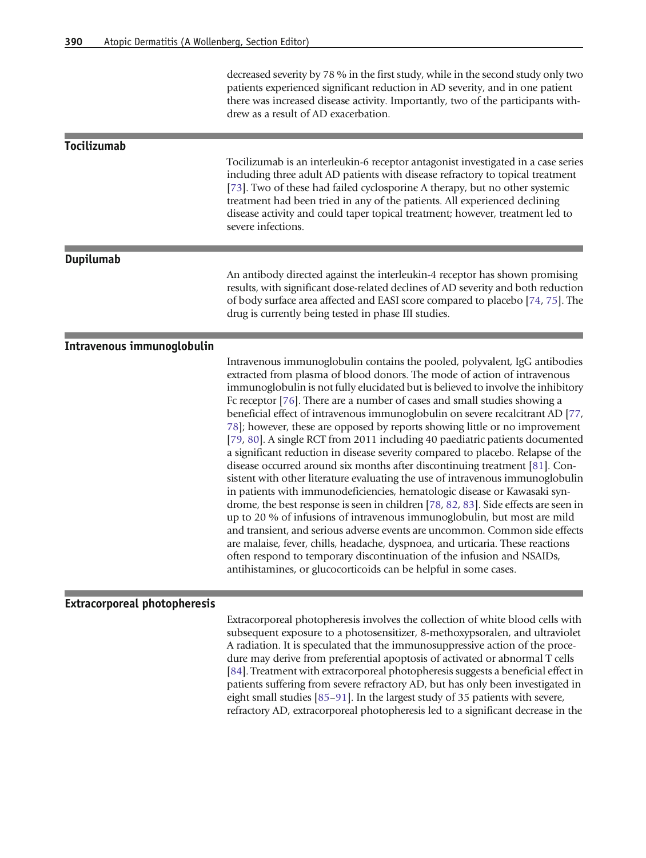decreased severity by 78 % in the first study, while in the second study only two patients experienced significant reduction in AD severity, and in one patient there was increased disease activity. Importantly, two of the participants withdrew as a result of AD exacerbation.

#### Tocilizumab

Tocilizumab is an interleukin-6 receptor antagonist investigated in a case series including three adult AD patients with disease refractory to topical treatment [[73](#page-11-0)]. Two of these had failed cyclosporine A therapy, but no other systemic treatment had been tried in any of the patients. All experienced declining disease activity and could taper topical treatment; however, treatment led to severe infections.

#### Dupilumab

An antibody directed against the interleukin-4 receptor has shown promising results, with significant dose-related declines of AD severity and both reduction of body surface area affected and EASI score compared to placebo [\[74,](#page-11-0) [75](#page-11-0)]. The drug is currently being tested in phase III studies.

#### Intravenous immunoglobulin

Intravenous immunoglobulin contains the pooled, polyvalent, IgG antibodies extracted from plasma of blood donors. The mode of action of intravenous immunoglobulin is not fully elucidated but is believed to involve the inhibitory Fc receptor [[76\]](#page-11-0). There are a number of cases and small studies showing a beneficial effect of intravenous immunoglobulin on severe recalcitrant AD [[77](#page-11-0), [78](#page-12-0)]; however, these are opposed by reports showing little or no improvement [[79](#page-12-0), [80](#page-12-0)]. A single RCT from 2011 including 40 paediatric patients documented a significant reduction in disease severity compared to placebo. Relapse of the disease occurred around six months after discontinuing treatment [\[81\]](#page-12-0). Consistent with other literature evaluating the use of intravenous immunoglobulin in patients with immunodeficiencies, hematologic disease or Kawasaki syndrome, the best response is seen in children [[78,](#page-12-0) [82](#page-12-0), [83\]](#page-12-0). Side effects are seen in up to 20 % of infusions of intravenous immunoglobulin, but most are mild and transient, and serious adverse events are uncommon. Common side effects are malaise, fever, chills, headache, dyspnoea, and urticaria. These reactions often respond to temporary discontinuation of the infusion and NSAIDs, antihistamines, or glucocorticoids can be helpful in some cases.

#### Extracorporeal photopheresis

Extracorporeal photopheresis involves the collection of white blood cells with subsequent exposure to a photosensitizer, 8-methoxypsoralen, and ultraviolet A radiation. It is speculated that the immunosuppressive action of the procedure may derive from preferential apoptosis of activated or abnormal T cells [[84](#page-12-0)]. Treatment with extracorporeal photopheresis suggests a beneficial effect in patients suffering from severe refractory AD, but has only been investigated in eight small studies [\[85](#page-12-0)–[91](#page-12-0)]. In the largest study of 35 patients with severe, refractory AD, extracorporeal photopheresis led to a significant decrease in the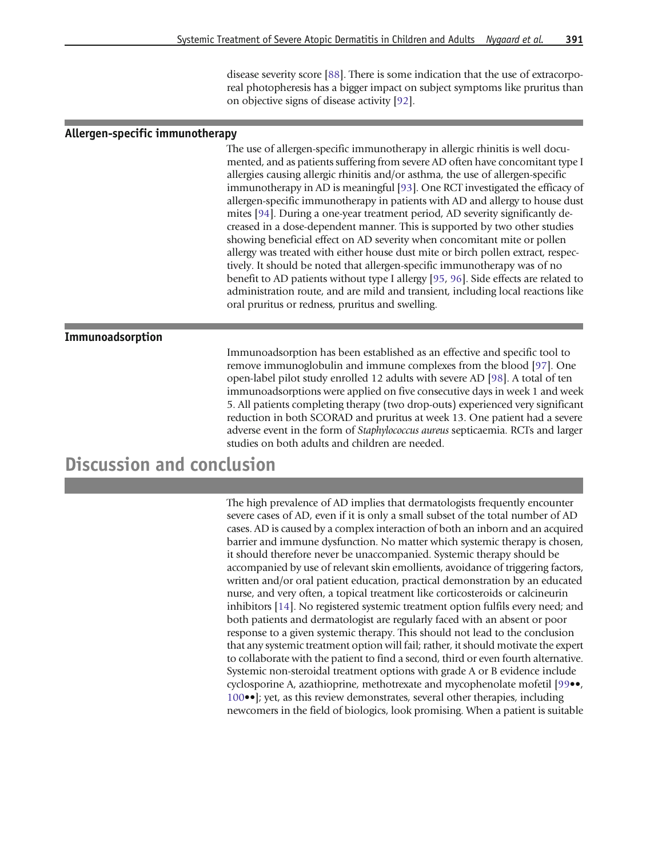disease severity score [[88](#page-12-0)]. There is some indication that the use of extracorporeal photopheresis has a bigger impact on subject symptoms like pruritus than on objective signs of disease activity [\[92\]](#page-12-0).

#### Allergen-specific immunotherapy

The use of allergen-specific immunotherapy in allergic rhinitis is well documented, and as patients suffering from severe AD often have concomitant type I allergies causing allergic rhinitis and/or asthma, the use of allergen-specific immunotherapy in AD is meaningful [[93](#page-12-0)]. One RCT investigated the efficacy of allergen-specific immunotherapy in patients with AD and allergy to house dust mites [\[94\]](#page-12-0). During a one-year treatment period, AD severity significantly decreased in a dose-dependent manner. This is supported by two other studies showing beneficial effect on AD severity when concomitant mite or pollen allergy was treated with either house dust mite or birch pollen extract, respectively. It should be noted that allergen-specific immunotherapy was of no benefit to AD patients without type I allergy [\[95](#page-12-0), [96](#page-12-0)]. Side effects are related to administration route, and are mild and transient, including local reactions like oral pruritus or redness, pruritus and swelling.

#### Immunoadsorption

Immunoadsorption has been established as an effective and specific tool to remove immunoglobulin and immune complexes from the blood [[97\]](#page-12-0). One open-label pilot study enrolled 12 adults with severe AD [\[98\]](#page-12-0). A total of ten immunoadsorptions were applied on five consecutive days in week 1 and week 5. All patients completing therapy (two drop-outs) experienced very significant reduction in both SCORAD and pruritus at week 13. One patient had a severe adverse event in the form of Staphylococcus aureus septicaemia. RCTs and larger studies on both adults and children are needed.

## Discussion and conclusion

The high prevalence of AD implies that dermatologists frequently encounter severe cases of AD, even if it is only a small subset of the total number of AD cases. AD is caused by a complex interaction of both an inborn and an acquired barrier and immune dysfunction. No matter which systemic therapy is chosen, it should therefore never be unaccompanied. Systemic therapy should be accompanied by use of relevant skin emollients, avoidance of triggering factors, written and/or oral patient education, practical demonstration by an educated nurse, and very often, a topical treatment like corticosteroids or calcineurin inhibitors [\[14](#page-9-0)]. No registered systemic treatment option fulfils every need; and both patients and dermatologist are regularly faced with an absent or poor response to a given systemic therapy. This should not lead to the conclusion that any systemic treatment option will fail; rather, it should motivate the expert to collaborate with the patient to find a second, third or even fourth alternative. Systemic non-steroidal treatment options with grade A or B evidence include cyclosporine A, azathioprine, methotrexate and mycophenolate mofetil [[99](#page-12-0)••, [100](#page-12-0)••]; yet, as this review demonstrates, several other therapies, including newcomers in the field of biologics, look promising. When a patient is suitable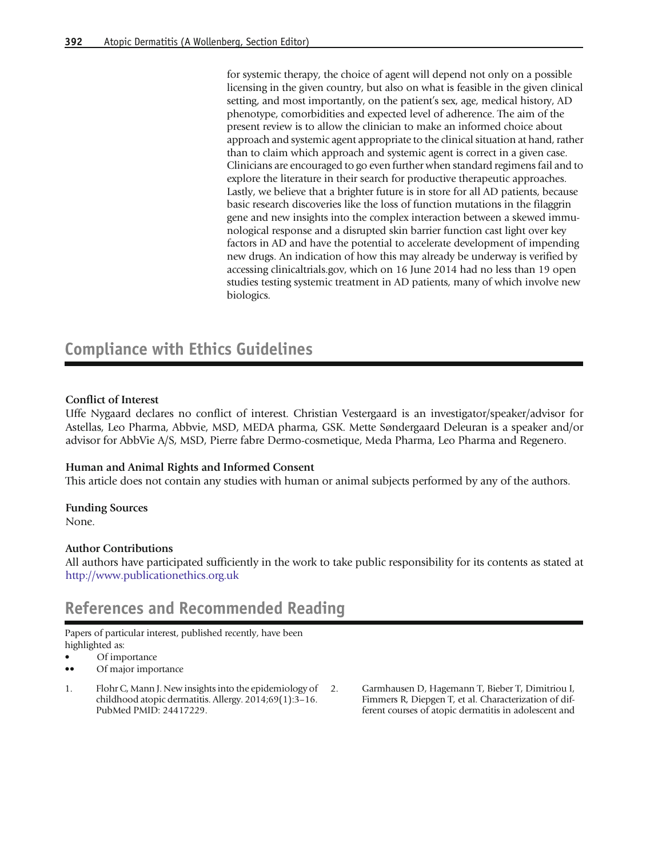<span id="page-8-0"></span>for systemic therapy, the choice of agent will depend not only on a possible licensing in the given country, but also on what is feasible in the given clinical setting, and most importantly, on the patient's sex, age, medical history, AD phenotype, comorbidities and expected level of adherence. The aim of the present review is to allow the clinician to make an informed choice about approach and systemic agent appropriate to the clinical situation at hand, rather than to claim which approach and systemic agent is correct in a given case. Clinicians are encouraged to go even further when standard regimens fail and to explore the literature in their search for productive therapeutic approaches. Lastly, we believe that a brighter future is in store for all AD patients, because basic research discoveries like the loss of function mutations in the filaggrin gene and new insights into the complex interaction between a skewed immunological response and a disrupted skin barrier function cast light over key factors in AD and have the potential to accelerate development of impending new drugs. An indication of how this may already be underway is verified by accessing clinicaltrials.gov, which on 16 June 2014 had no less than 19 open studies testing systemic treatment in AD patients, many of which involve new biologics.

## Compliance with Ethics Guidelines

#### Conflict of Interest

Uffe Nygaard declares no conflict of interest. Christian Vestergaard is an investigator/speaker/advisor for Astellas, Leo Pharma, Abbvie, MSD, MEDA pharma, GSK. Mette Søndergaard Deleuran is a speaker and/or advisor for AbbVie A/S, MSD, Pierre fabre Dermo-cosmetique, Meda Pharma, Leo Pharma and Regenero.

#### Human and Animal Rights and Informed Consent

This article does not contain any studies with human or animal subjects performed by any of the authors.

Funding Sources None.

#### Author Contributions

All authors have participated sufficiently in the work to take public responsibility for its contents as stated at [http://www.publicationethics.org.uk](http://www.publicationethics.org.uk/)

### References and Recommended Reading

Papers of particular interest, published recently, have been highlighted as:

- Of importance
- •• Of major importance
- 1. Flohr C, Mann J. New insights into the epidemiology of childhood atopic dermatitis. Allergy. 2014;69(1):3–16. PubMed PMID: 24417229.
	- 2. Garmhausen D, Hagemann T, Bieber T, Dimitriou I, Fimmers R, Diepgen T, et al. Characterization of different courses of atopic dermatitis in adolescent and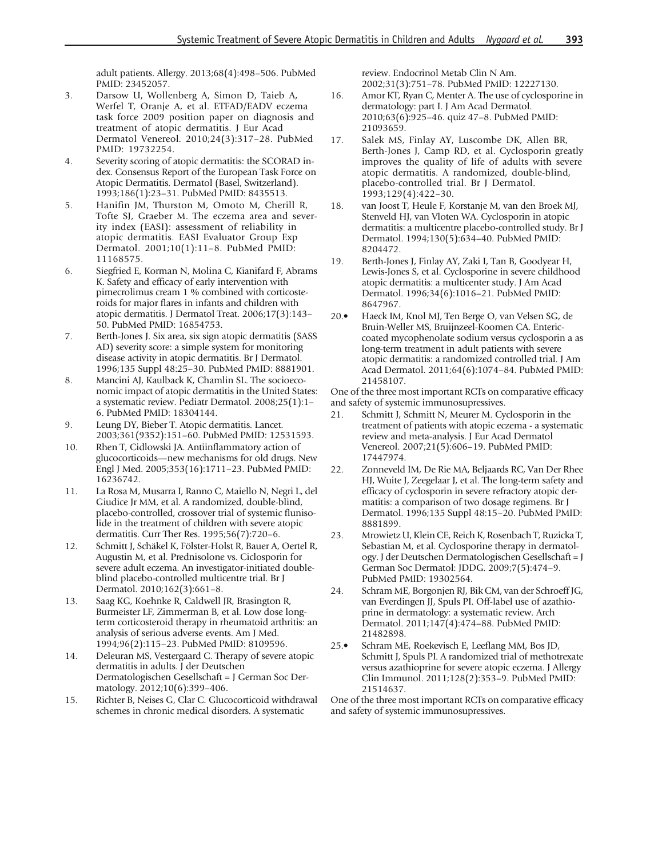adult patients. Allergy. 2013;68(4):498–506. PubMed PMID: 23452057.

- <span id="page-9-0"></span>3. Darsow U, Wollenberg A, Simon D, Taieb A, Werfel T, Oranje A, et al. ETFAD/EADV eczema task force 2009 position paper on diagnosis and treatment of atopic dermatitis. J Eur Acad Dermatol Venereol. 2010;24(3):317–28. PubMed PMID: 19732254.
- 4. Severity scoring of atopic dermatitis: the SCORAD index. Consensus Report of the European Task Force on Atopic Dermatitis. Dermatol (Basel, Switzerland). 1993;186(1):23–31. PubMed PMID: 8435513.
- 5. Hanifin JM, Thurston M, Omoto M, Cherill R, Tofte SJ, Graeber M. The eczema area and severity index (EASI): assessment of reliability in atopic dermatitis. EASI Evaluator Group Exp Dermatol. 2001;10(1):11–8. PubMed PMID: 11168575.
- 6. Siegfried E, Korman N, Molina C, Kianifard F, Abrams K. Safety and efficacy of early intervention with pimecrolimus cream 1 % combined with corticosteroids for major flares in infants and children with atopic dermatitis. J Dermatol Treat. 2006;17(3):143– 50. PubMed PMID: 16854753.
- 7. Berth-Jones J. Six area, six sign atopic dermatitis (SASS AD) severity score: a simple system for monitoring disease activity in atopic dermatitis. Br J Dermatol. 1996;135 Suppl 48:25–30. PubMed PMID: 8881901.
- 8. Mancini AJ, Kaulback K, Chamlin SL. The socioeconomic impact of atopic dermatitis in the United States: a systematic review. Pediatr Dermatol. 2008;25(1):1– 6. PubMed PMID: 18304144.
- 9. Leung DY, Bieber T. Atopic dermatitis. Lancet. 2003;361(9352):151–60. PubMed PMID: 12531593.
- 10. Rhen T, Cidlowski JA. Antiinflammatory action of glucocorticoids—new mechanisms for old drugs. New Engl J Med. 2005;353(16):1711–23. PubMed PMID: 16236742.
- 11. La Rosa M, Musarra I, Ranno C, Maiello N, Negri L, del Giudice Jr MM, et al. A randomized, double-blind, placebo-controlled, crossover trial of systemic flunisolide in the treatment of children with severe atopic dermatitis. Curr Ther Res. 1995;56(7):720–6.
- 12. Schmitt J, Schäkel K, Fölster-Holst R, Bauer A, Oertel R, Augustin M, et al. Prednisolone vs. Ciclosporin for severe adult eczema. An investigator-initiated doubleblind placebo-controlled multicentre trial. Br J Dermatol. 2010;162(3):661–8.
- 13. Saag KG, Koehnke R, Caldwell JR, Brasington R, Burmeister LF, Zimmerman B, et al. Low dose longterm corticosteroid therapy in rheumatoid arthritis: an analysis of serious adverse events. Am J Med. 1994;96(2):115–23. PubMed PMID: 8109596.
- 14. Deleuran MS, Vestergaard C. Therapy of severe atopic dermatitis in adults. J der Deutschen Dermatologischen Gesellschaft = J German Soc Dermatology. 2012;10(6):399–406.
- 15. Richter B, Neises G, Clar C. Glucocorticoid withdrawal schemes in chronic medical disorders. A systematic

review. Endocrinol Metab Clin N Am. 2002;31(3):751–78. PubMed PMID: 12227130.

- 16. Amor KT, Ryan C, Menter A. The use of cyclosporine in dermatology: part I. J Am Acad Dermatol. 2010;63(6):925–46. quiz 47–8. PubMed PMID: 21093659.
- 17. Salek MS, Finlay AY, Luscombe DK, Allen BR, Berth-Jones J, Camp RD, et al. Cyclosporin greatly improves the quality of life of adults with severe atopic dermatitis. A randomized, double-blind, placebo-controlled trial. Br J Dermatol. 1993;129(4):422–30.
- 18. van Joost T, Heule F, Korstanje M, van den Broek MJ, Stenveld HJ, van Vloten WA. Cyclosporin in atopic dermatitis: a multicentre placebo-controlled study. Br J Dermatol. 1994;130(5):634–40. PubMed PMID: 8204472.
- 19. Berth-Jones J, Finlay AY, Zaki I, Tan B, Goodyear H, Lewis-Jones S, et al. Cyclosporine in severe childhood atopic dermatitis: a multicenter study. J Am Acad Dermatol. 1996;34(6):1016–21. PubMed PMID: 8647967.
- 20.• Haeck IM, Knol MJ, Ten Berge O, van Velsen SG, de Bruin-Weller MS, Bruijnzeel-Koomen CA. Entericcoated mycophenolate sodium versus cyclosporin a as long-term treatment in adult patients with severe atopic dermatitis: a randomized controlled trial. J Am Acad Dermatol. 2011;64(6):1074–84. PubMed PMID: 21458107.

One of the three most important RCTs on comparative efficacy and safety of systemic immunosupressives.

- 21. Schmitt J, Schmitt N, Meurer M. Cyclosporin in the treatment of patients with atopic eczema - a systematic review and meta-analysis. J Eur Acad Dermatol Venereol. 2007;21(5):606–19. PubMed PMID: 17447974.
- 22. Zonneveld IM, De Rie MA, Beljaards RC, Van Der Rhee HJ, Wuite J, Zeegelaar J, et al. The long-term safety and efficacy of cyclosporin in severe refractory atopic dermatitis: a comparison of two dosage regimens. Br J Dermatol. 1996;135 Suppl 48:15–20. PubMed PMID: 8881899.
- 23. Mrowietz U, Klein CE, Reich K, Rosenbach T, Ruzicka T, Sebastian M, et al. Cyclosporine therapy in dermatology. J der Deutschen Dermatologischen Gesellschaft = J German Soc Dermatol: JDDG. 2009;7(5):474–9. PubMed PMID: 19302564.
- 24. Schram ME, Borgonjen RJ, Bik CM, van der Schroeff JG, van Everdingen JJ, Spuls PI. Off-label use of azathioprine in dermatology: a systematic review. Arch Dermatol. 2011;147(4):474–88. PubMed PMID: 21482898.
- 25.• Schram ME, Roekevisch E, Leeflang MM, Bos JD, Schmitt J, Spuls PI. A randomized trial of methotrexate versus azathioprine for severe atopic eczema. J Allergy Clin Immunol. 2011;128(2):353–9. PubMed PMID: 21514637.

One of the three most important RCTs on comparative efficacy and safety of systemic immunosupressives.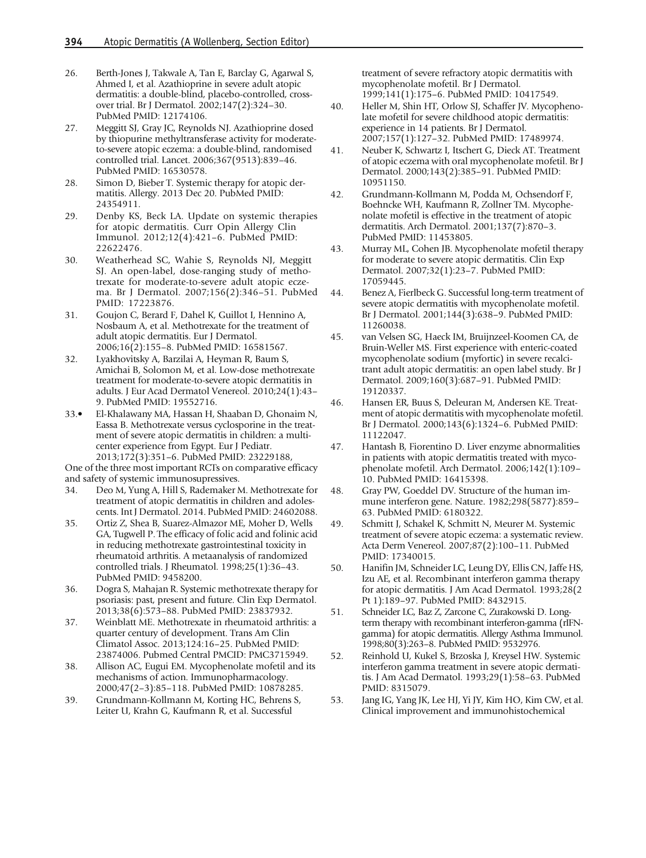- <span id="page-10-0"></span>26. Berth-Jones J, Takwale A, Tan E, Barclay G, Agarwal S, Ahmed I, et al. Azathioprine in severe adult atopic dermatitis: a double-blind, placebo-controlled, crossover trial. Br J Dermatol. 2002;147(2):324–30. PubMed PMID: 12174106.
- 27. Meggitt SJ, Gray JC, Reynolds NJ. Azathioprine dosed by thiopurine methyltransferase activity for moderateto-severe atopic eczema: a double-blind, randomised controlled trial. Lancet. 2006;367(9513):839–46. PubMed PMID: 16530578.
- 28. Simon D, Bieber T. Systemic therapy for atopic dermatitis. Allergy. 2013 Dec 20. PubMed PMID: 24354911.
- 29. Denby KS, Beck LA. Update on systemic therapies for atopic dermatitis. Curr Opin Allergy Clin Immunol. 2012;12(4):421–6. PubMed PMID: 22622476.
- 30. Weatherhead SC, Wahie S, Reynolds NJ, Meggitt SJ. An open-label, dose-ranging study of methotrexate for moderate-to-severe adult atopic eczema. Br J Dermatol. 2007;156(2):346–51. PubMed PMID: 17223876.
- 31. Goujon C, Berard F, Dahel K, Guillot I, Hennino A, Nosbaum A, et al. Methotrexate for the treatment of adult atopic dermatitis. Eur J Dermatol. 2006;16(2):155–8. PubMed PMID: 16581567.
- 32. Lyakhovitsky A, Barzilai A, Heyman R, Baum S, Amichai B, Solomon M, et al. Low-dose methotrexate treatment for moderate-to-severe atopic dermatitis in adults. J Eur Acad Dermatol Venereol. 2010;24(1):43– 9. PubMed PMID: 19552716.
- 33.• El-Khalawany MA, Hassan H, Shaaban D, Ghonaim N, Eassa B. Methotrexate versus cyclosporine in the treatment of severe atopic dermatitis in children: a multicenter experience from Egypt. Eur J Pediatr. 2013;172(3):351–6. PubMed PMID: 23229188,

One of the three most important RCTs on comparative efficacy and safety of systemic immunosupressives.

- 34. Deo M, Yung A, Hill S, Rademaker M. Methotrexate for treatment of atopic dermatitis in children and adolescents. Int J Dermatol. 2014. PubMed PMID: 24602088.
- 35. Ortiz Z, Shea B, Suarez-Almazor ME, Moher D, Wells GA, Tugwell P. The efficacy of folic acid and folinic acid in reducing methotrexate gastrointestinal toxicity in rheumatoid arthritis. A metaanalysis of randomized controlled trials. J Rheumatol. 1998;25(1):36–43. PubMed PMID: 9458200.
- 36. Dogra S, Mahajan R. Systemic methotrexate therapy for psoriasis: past, present and future. Clin Exp Dermatol. 2013;38(6):573–88. PubMed PMID: 23837932.
- 37. Weinblatt ME. Methotrexate in rheumatoid arthritis: a quarter century of development. Trans Am Clin Climatol Assoc. 2013;124:16–25. PubMed PMID: 23874006. Pubmed Central PMCID: PMC3715949.
- 38. Allison AC, Eugui EM. Mycophenolate mofetil and its mechanisms of action. Immunopharmacology. 2000;47(2–3):85–118. PubMed PMID: 10878285.
- 39. Grundmann-Kollmann M, Korting HC, Behrens S, Leiter U, Krahn G, Kaufmann R, et al. Successful

treatment of severe refractory atopic dermatitis with mycophenolate mofetil. Br J Dermatol. 1999;141(1):175–6. PubMed PMID: 10417549.

- 40. Heller M, Shin HT, Orlow SJ, Schaffer JV. Mycophenolate mofetil for severe childhood atopic dermatitis: experience in 14 patients. Br J Dermatol. 2007;157(1):127–32. PubMed PMID: 17489974.
- 41. Neuber K, Schwartz I, Itschert G, Dieck AT. Treatment of atopic eczema with oral mycophenolate mofetil. Br J Dermatol. 2000;143(2):385–91. PubMed PMID: 10951150.
- 42. Grundmann-Kollmann M, Podda M, Ochsendorf F, Boehncke WH, Kaufmann R, Zollner TM. Mycophenolate mofetil is effective in the treatment of atopic dermatitis. Arch Dermatol. 2001;137(7):870–3. PubMed PMID: 11453805.
- 43. Murray ML, Cohen JB. Mycophenolate mofetil therapy for moderate to severe atopic dermatitis. Clin Exp Dermatol. 2007;32(1):23–7. PubMed PMID: 17059445.
- 44. Benez A, Fierlbeck G. Successful long-term treatment of severe atopic dermatitis with mycophenolate mofetil. Br J Dermatol. 2001;144(3):638–9. PubMed PMID: 11260038.
- 45. van Velsen SG, Haeck IM, Bruijnzeel-Koomen CA, de Bruin-Weller MS. First experience with enteric-coated mycophenolate sodium (myfortic) in severe recalcitrant adult atopic dermatitis: an open label study. Br J Dermatol. 2009;160(3):687–91. PubMed PMID: 19120337.
- 46. Hansen ER, Buus S, Deleuran M, Andersen KE. Treatment of atopic dermatitis with mycophenolate mofetil. Br J Dermatol. 2000;143(6):1324–6. PubMed PMID: 11122047.
- 47. Hantash B, Fiorentino D. Liver enzyme abnormalities in patients with atopic dermatitis treated with mycophenolate mofetil. Arch Dermatol. 2006;142(1):109– 10. PubMed PMID: 16415398.
- 48. Gray PW, Goeddel DV. Structure of the human immune interferon gene. Nature. 1982;298(5877):859– 63. PubMed PMID: 6180322.
- 49. Schmitt J, Schakel K, Schmitt N, Meurer M. Systemic treatment of severe atopic eczema: a systematic review. Acta Derm Venereol. 2007;87(2):100–11. PubMed PMID: 17340015.
- 50. Hanifin JM, Schneider LC, Leung DY, Ellis CN, Jaffe HS, Izu AE, et al. Recombinant interferon gamma therapy for atopic dermatitis. J Am Acad Dermatol. 1993;28(2 Pt 1):189–97. PubMed PMID: 8432915.
- 51. Schneider LC, Baz Z, Zarcone C, Zurakowski D. Longterm therapy with recombinant interferon-gamma (rIFNgamma) for atopic dermatitis. Allergy Asthma Immunol. 1998;80(3):263–8. PubMed PMID: 9532976.
- 52. Reinhold U, Kukel S, Brzoska J, Kreysel HW. Systemic interferon gamma treatment in severe atopic dermatitis. J Am Acad Dermatol. 1993;29(1):58–63. PubMed PMID: 8315079.
- 53. Jang IG, Yang JK, Lee HJ, Yi JY, Kim HO, Kim CW, et al. Clinical improvement and immunohistochemical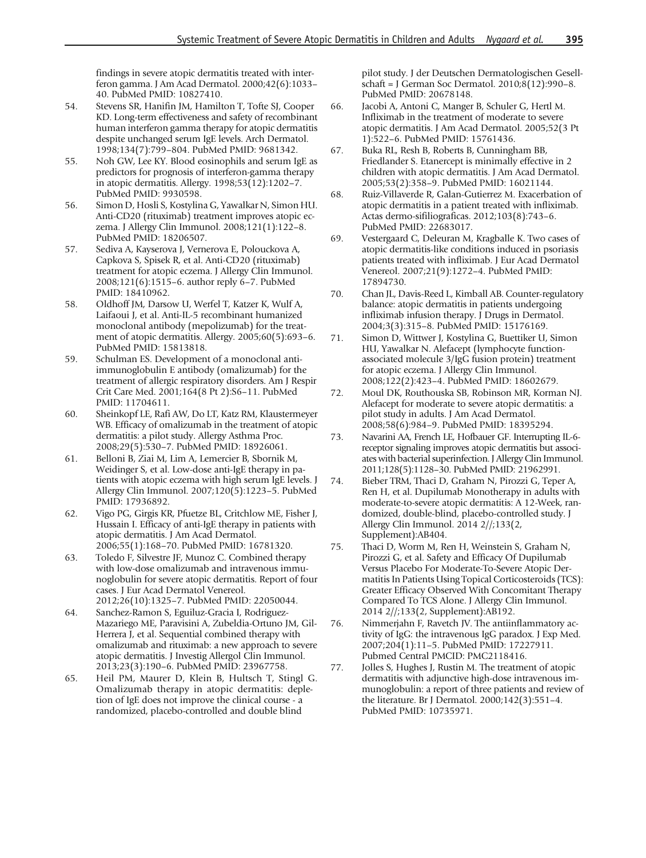<span id="page-11-0"></span>findings in severe atopic dermatitis treated with interferon gamma. J Am Acad Dermatol. 2000;42(6):1033– 40. PubMed PMID: 10827410.

- 54. Stevens SR, Hanifin JM, Hamilton T, Tofte SJ, Cooper KD. Long-term effectiveness and safety of recombinant human interferon gamma therapy for atopic dermatitis despite unchanged serum IgE levels. Arch Dermatol. 1998;134(7):799–804. PubMed PMID: 9681342.
- 55. Noh GW, Lee KY. Blood eosinophils and serum IgE as predictors for prognosis of interferon-gamma therapy in atopic dermatitis. Allergy. 1998;53(12):1202–7. PubMed PMID: 9930598.
- 56. Simon D, Hosli S, Kostylina G, Yawalkar N, Simon HU. Anti-CD20 (rituximab) treatment improves atopic eczema. J Allergy Clin Immunol. 2008;121(1):122–8. PubMed PMID: 18206507.
- 57. Sediva A, Kayserova J, Vernerova E, Polouckova A, Capkova S, Spisek R, et al. Anti-CD20 (rituximab) treatment for atopic eczema. J Allergy Clin Immunol. 2008;121(6):1515–6. author reply 6–7. PubMed PMID: 18410962.
- 58. Oldhoff JM, Darsow U, Werfel T, Katzer K, Wulf A, Laifaoui J, et al. Anti-IL-5 recombinant humanized monoclonal antibody (mepolizumab) for the treatment of atopic dermatitis. Allergy. 2005;60(5):693–6. PubMed PMID: 15813818.
- 59. Schulman ES. Development of a monoclonal antiimmunoglobulin E antibody (omalizumab) for the treatment of allergic respiratory disorders. Am J Respir Crit Care Med. 2001;164(8 Pt 2):S6–11. PubMed PMID: 11704611.
- 60. Sheinkopf LE, Rafi AW, Do LT, Katz RM, Klaustermeyer WB. Efficacy of omalizumab in the treatment of atopic dermatitis: a pilot study. Allergy Asthma Proc. 2008;29(5):530–7. PubMed PMID: 18926061.
- 61. Belloni B, Ziai M, Lim A, Lemercier B, Sbornik M, Weidinger S, et al. Low-dose anti-IgE therapy in patients with atopic eczema with high serum IgE levels. J Allergy Clin Immunol. 2007;120(5):1223–5. PubMed PMID: 17936892.
- 62. Vigo PG, Girgis KR, Pfuetze BL, Critchlow ME, Fisher J, Hussain I. Efficacy of anti-IgE therapy in patients with atopic dermatitis. J Am Acad Dermatol. 2006;55(1):168–70. PubMed PMID: 16781320.
- 63. Toledo F, Silvestre JF, Munoz C. Combined therapy with low-dose omalizumab and intravenous immunoglobulin for severe atopic dermatitis. Report of four cases. J Eur Acad Dermatol Venereol. 2012;26(10):1325–7. PubMed PMID: 22050044.
- 64. Sanchez-Ramon S, Eguiluz-Gracia I, Rodriguez-Mazariego ME, Paravisini A, Zubeldia-Ortuno JM, Gil-Herrera J, et al. Sequential combined therapy with omalizumab and rituximab: a new approach to severe atopic dermatitis. J Investig Allergol Clin Immunol. 2013;23(3):190–6. PubMed PMID: 23967758.
- 65. Heil PM, Maurer D, Klein B, Hultsch T, Stingl G. Omalizumab therapy in atopic dermatitis: depletion of IgE does not improve the clinical course - a randomized, placebo-controlled and double blind

pilot study. J der Deutschen Dermatologischen Gesellschaft = J German Soc Dermatol. 2010;8(12):990–8. PubMed PMID: 20678148.

- 66. Jacobi A, Antoni C, Manger B, Schuler G, Hertl M. Infliximab in the treatment of moderate to severe atopic dermatitis. J Am Acad Dermatol. 2005;52(3 Pt 1):522–6. PubMed PMID: 15761436.
- 67. Buka RL, Resh B, Roberts B, Cunningham BB, Friedlander S. Etanercept is minimally effective in 2 children with atopic dermatitis. J Am Acad Dermatol. 2005;53(2):358–9. PubMed PMID: 16021144.
- 68. Ruiz-Villaverde R, Galan-Gutierrez M. Exacerbation of atopic dermatitis in a patient treated with infliximab. Actas dermo-sifiliograficas. 2012;103(8):743–6. PubMed PMID: 22683017.
- 69. Vestergaard C, Deleuran M, Kragballe K. Two cases of atopic dermatitis-like conditions induced in psoriasis patients treated with infliximab. J Eur Acad Dermatol Venereol. 2007;21(9):1272–4. PubMed PMID: 17894730.
- 70. Chan JL, Davis-Reed L, Kimball AB. Counter-regulatory balance: atopic dermatitis in patients undergoing infliximab infusion therapy. J Drugs in Dermatol. 2004;3(3):315–8. PubMed PMID: 15176169.
- 71. Simon D, Wittwer J, Kostylina G, Buettiker U, Simon HU, Yawalkar N. Alefacept (lymphocyte functionassociated molecule 3/IgG fusion protein) treatment for atopic eczema. J Allergy Clin Immunol. 2008;122(2):423–4. PubMed PMID: 18602679.
- 72. Moul DK, Routhouska SB, Robinson MR, Korman NJ. Alefacept for moderate to severe atopic dermatitis: a pilot study in adults. J Am Acad Dermatol. 2008;58(6):984–9. PubMed PMID: 18395294.
- 73. Navarini AA, French LE, Hofbauer GF. Interrupting IL-6 receptor signaling improves atopic dermatitis but associates with bacterial superinfection. J Allergy Clin Immunol. 2011;128(5):1128–30. PubMed PMID: 21962991.
- 74. Bieber TRM, Thaci D, Graham N, Pirozzi G, Teper A, Ren H, et al. Dupilumab Monotherapy in adults with moderate-to-severe atopic dermatitis: A 12-Week, randomized, double-blind, placebo-controlled study. J Allergy Clin Immunol. 2014 2//;133(2, Supplement):AB404.
- 75. Thaci D, Worm M, Ren H, Weinstein S, Graham N, Pirozzi G, et al. Safety and Efficacy Of Dupilumab Versus Placebo For Moderate-To-Severe Atopic Dermatitis In Patients Using Topical Corticosteroids (TCS): Greater Efficacy Observed With Concomitant Therapy Compared To TCS Alone. J Allergy Clin Immunol. 2014 2//;133(2, Supplement):AB192.
- 76. Nimmerjahn F, Ravetch JV. The antiinflammatory activity of IgG: the intravenous IgG paradox. J Exp Med. 2007;204(1):11–5. PubMed PMID: 17227911. Pubmed Central PMCID: PMC2118416.
- 77. Jolles S, Hughes J, Rustin M. The treatment of atopic dermatitis with adjunctive high-dose intravenous immunoglobulin: a report of three patients and review of the literature. Br J Dermatol. 2000;142(3):551–4. PubMed PMID: 10735971.